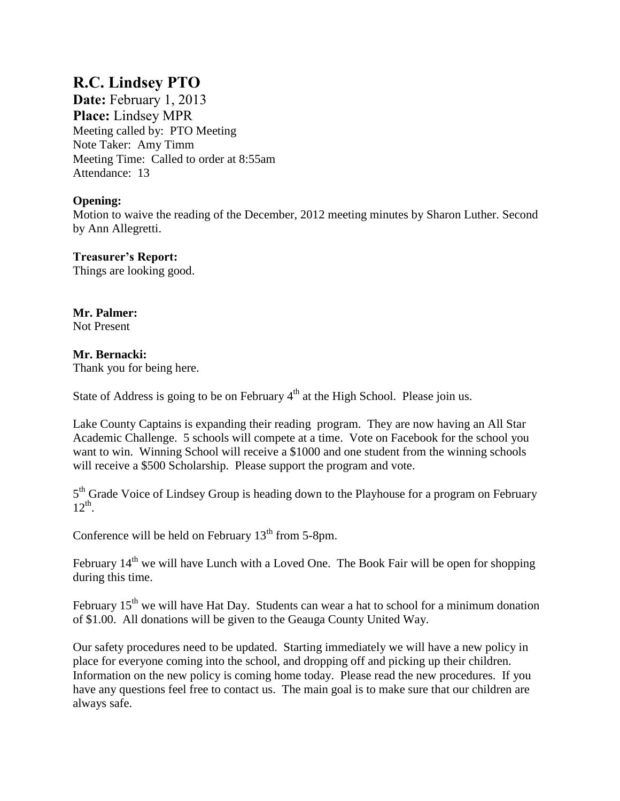## **R.C. Lindsey PTO**

**Date:** February 1, 2013 **Place:** Lindsey MPR Meeting called by: PTO Meeting Note Taker: Amy Timm Meeting Time: Called to order at 8:55am Attendance: 13

## **Opening:**

Motion to waive the reading of the December, 2012 meeting minutes by Sharon Luther. Second by Ann Allegretti.

# **Treasurer's Report:**

Things are looking good.

#### **Mr. Palmer:**  Not Present

## **Mr. Bernacki:**

Thank you for being here.

State of Address is going to be on February  $4<sup>th</sup>$  at the High School. Please join us.

Lake County Captains is expanding their reading program. They are now having an All Star Academic Challenge. 5 schools will compete at a time. Vote on Facebook for the school you want to win. Winning School will receive a \$1000 and one student from the winning schools will receive a \$500 Scholarship. Please support the program and vote.

5<sup>th</sup> Grade Voice of Lindsey Group is heading down to the Playhouse for a program on February  $12^{th}$ .

Conference will be held on February  $13<sup>th</sup>$  from 5-8pm.

February 14<sup>th</sup> we will have Lunch with a Loved One. The Book Fair will be open for shopping during this time.

February  $15<sup>th</sup>$  we will have Hat Day. Students can wear a hat to school for a minimum donation of \$1.00. All donations will be given to the Geauga County United Way.

Our safety procedures need to be updated. Starting immediately we will have a new policy in place for everyone coming into the school, and dropping off and picking up their children. Information on the new policy is coming home today. Please read the new procedures. If you have any questions feel free to contact us. The main goal is to make sure that our children are always safe.